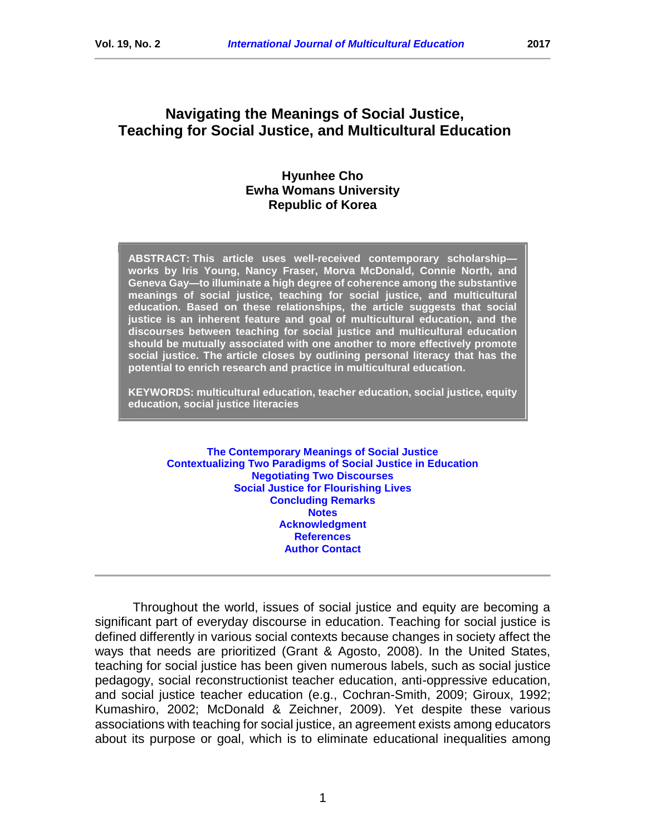# **Navigating the Meanings of Social Justice, Teaching for Social Justice, and Multicultural Education**

#### **Hyunhee Cho Ewha Womans University Republic of Korea**

**ABSTRACT: This article uses well-received contemporary scholarship works by Iris Young, Nancy Fraser, Morva McDonald, Connie North, and Geneva Gay—to illuminate a high degree of coherence among the substantive meanings of social justice, teaching for social justice, and multicultural education. Based on these relationships, the article suggests that social justice is an inherent feature and goal of multicultural education, and the discourses between teaching for social justice and multicultural education should be mutually associated with one another to more effectively promote social justice. The article closes by outlining personal literacy that has the potential to enrich research and practice in multicultural education.** 

**KEYWORDS: multicultural education, teacher education, social justice, equity education, social justice literacies**

**[The Contemporary Meanings of Social Justice](#page-2-0) [Contextualizing Two Paradigms of Social Justice in Education](#page-4-0) [Negotiating Two Discourses](#page-10-0) [Social Justice for Flourishing Lives](#page-12-0) [Concluding Remarks](#page-13-0) [Notes](#page-13-1) [Acknowledgment](#page-14-0) [References](#page-14-1) [Author Contact](#page-18-0)**

Throughout the world, issues of social justice and equity are becoming a significant part of everyday discourse in education. Teaching for social justice is defined differently in various social contexts because changes in society affect the ways that needs are prioritized (Grant & Agosto, 2008). In the United States, teaching for social justice has been given numerous labels, such as social justice pedagogy, social reconstructionist teacher education, anti-oppressive education, and social justice teacher education (e.g., Cochran-Smith, 2009; Giroux, 1992; Kumashiro, 2002; McDonald & Zeichner, 2009). Yet despite these various associations with teaching for social justice, an agreement exists among educators about its purpose or goal, which is to eliminate educational inequalities among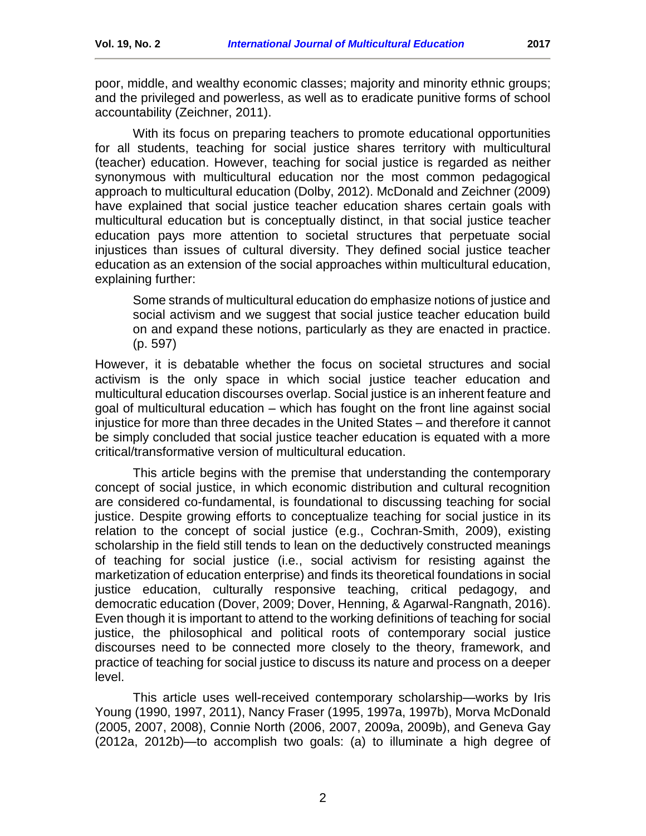poor, middle, and wealthy economic classes; majority and minority ethnic groups; and the privileged and powerless, as well as to eradicate punitive forms of school accountability (Zeichner, 2011).

With its focus on preparing teachers to promote educational opportunities for all students, teaching for social justice shares territory with multicultural (teacher) education. However, teaching for social justice is regarded as neither synonymous with multicultural education nor the most common pedagogical approach to multicultural education (Dolby, 2012). McDonald and Zeichner (2009) have explained that social justice teacher education shares certain goals with multicultural education but is conceptually distinct, in that social justice teacher education pays more attention to societal structures that perpetuate social injustices than issues of cultural diversity. They defined social justice teacher education as an extension of the social approaches within multicultural education, explaining further:

Some strands of multicultural education do emphasize notions of justice and social activism and we suggest that social justice teacher education build on and expand these notions, particularly as they are enacted in practice. (p. 597)

However, it is debatable whether the focus on societal structures and social activism is the only space in which social justice teacher education and multicultural education discourses overlap. Social justice is an inherent feature and goal of multicultural education – which has fought on the front line against social injustice for more than three decades in the United States – and therefore it cannot be simply concluded that social justice teacher education is equated with a more critical/transformative version of multicultural education.

This article begins with the premise that understanding the contemporary concept of social justice, in which economic distribution and cultural recognition are considered co-fundamental, is foundational to discussing teaching for social justice. Despite growing efforts to conceptualize teaching for social justice in its relation to the concept of social justice (e.g., Cochran-Smith, 2009), existing scholarship in the field still tends to lean on the deductively constructed meanings of teaching for social justice (i.e., social activism for resisting against the marketization of education enterprise) and finds its theoretical foundations in social justice education, culturally responsive teaching, critical pedagogy, and democratic education (Dover, 2009; Dover, Henning, & Agarwal-Rangnath, 2016). Even though it is important to attend to the working definitions of teaching for social justice, the philosophical and political roots of contemporary social justice discourses need to be connected more closely to the theory, framework, and practice of teaching for social justice to discuss its nature and process on a deeper level.

This article uses well-received contemporary scholarship—works by Iris Young (1990, 1997, 2011), Nancy Fraser (1995, 1997a, 1997b), Morva McDonald (2005, 2007, 2008), Connie North (2006, 2007, 2009a, 2009b), and Geneva Gay (2012a, 2012b)—to accomplish two goals: (a) to illuminate a high degree of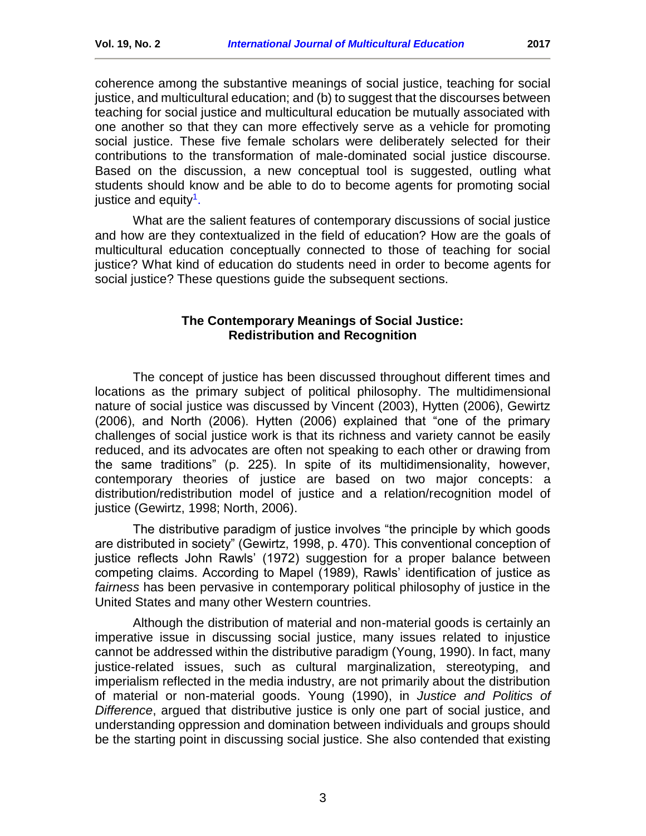coherence among the substantive meanings of social justice, teaching for social justice, and multicultural education; and (b) to suggest that the discourses between teaching for social justice and multicultural education be mutually associated with one another so that they can more effectively serve as a vehicle for promoting social justice. These five female scholars were deliberately selected for their contributions to the transformation of male-dominated social justice discourse. Based on the discussion, a new conceptual tool is suggested, outling what students should know and be able to do to become agents for promoting social justice and equity<sup>1</sup>.

What are the salient features of contemporary discussions of social justice and how are they contextualized in the field of education? How are the goals of multicultural education conceptually connected to those of teaching for social justice? What kind of education do students need in order to become agents for social justice? These questions guide the subsequent sections.

#### **The Contemporary Meanings of Social Justice: Redistribution and Recognition**

<span id="page-2-0"></span>The concept of justice has been discussed throughout different times and locations as the primary subject of political philosophy. The multidimensional nature of social justice was discussed by Vincent (2003), Hytten (2006), Gewirtz (2006), and North (2006). Hytten (2006) explained that "one of the primary challenges of social justice work is that its richness and variety cannot be easily reduced, and its advocates are often not speaking to each other or drawing from the same traditions" (p. 225). In spite of its multidimensionality, however, contemporary theories of justice are based on two major concepts: a distribution/redistribution model of justice and a relation/recognition model of justice (Gewirtz, 1998; North, 2006).

The distributive paradigm of justice involves "the principle by which goods are distributed in society" (Gewirtz, 1998, p. 470). This conventional conception of justice reflects John Rawls' (1972) suggestion for a proper balance between competing claims. According to Mapel (1989), Rawls' identification of justice as *fairness* has been pervasive in contemporary political philosophy of justice in the United States and many other Western countries.

Although the distribution of material and non-material goods is certainly an imperative issue in discussing social justice, many issues related to injustice cannot be addressed within the distributive paradigm (Young, 1990). In fact, many justice-related issues, such as cultural marginalization, stereotyping, and imperialism reflected in the media industry, are not primarily about the distribution of material or non-material goods. Young (1990), in *Justice and Politics of Difference*, argued that distributive justice is only one part of social justice, and understanding oppression and domination between individuals and groups should be the starting point in discussing social justice. She also contended that existing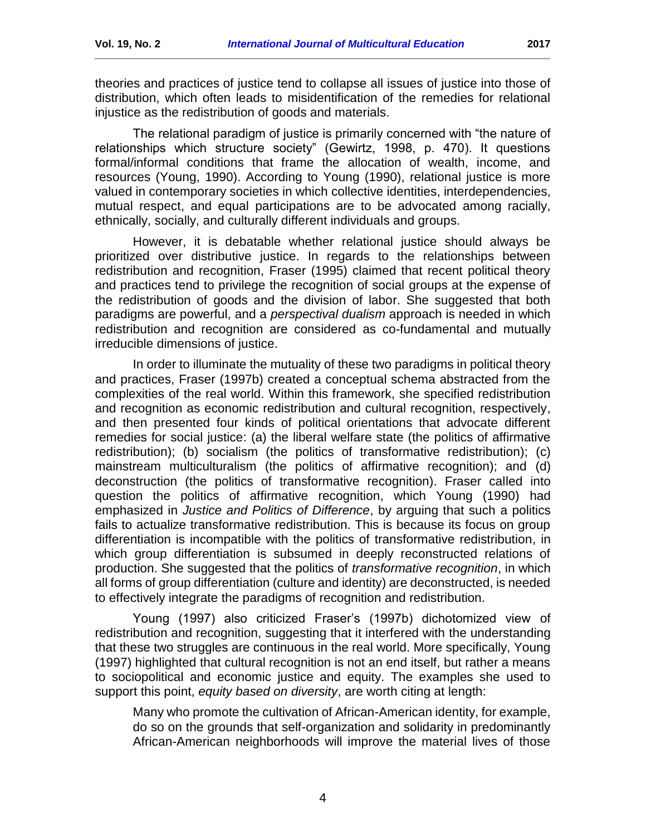theories and practices of justice tend to collapse all issues of justice into those of distribution, which often leads to misidentification of the remedies for relational injustice as the redistribution of goods and materials.

The relational paradigm of justice is primarily concerned with "the nature of relationships which structure society" (Gewirtz, 1998, p. 470). It questions formal/informal conditions that frame the allocation of wealth, income, and resources (Young, 1990). According to Young (1990), relational justice is more valued in contemporary societies in which collective identities, interdependencies, mutual respect, and equal participations are to be advocated among racially, ethnically, socially, and culturally different individuals and groups.

However, it is debatable whether relational justice should always be prioritized over distributive justice. In regards to the relationships between redistribution and recognition, Fraser (1995) claimed that recent political theory and practices tend to privilege the recognition of social groups at the expense of the redistribution of goods and the division of labor. She suggested that both paradigms are powerful, and a *perspectival dualism* approach is needed in which redistribution and recognition are considered as co-fundamental and mutually irreducible dimensions of justice.

In order to illuminate the mutuality of these two paradigms in political theory and practices, Fraser (1997b) created a conceptual schema abstracted from the complexities of the real world. Within this framework, she specified redistribution and recognition as economic redistribution and cultural recognition, respectively, and then presented four kinds of political orientations that advocate different remedies for social justice: (a) the liberal welfare state (the politics of affirmative redistribution); (b) socialism (the politics of transformative redistribution); (c) mainstream multiculturalism (the politics of affirmative recognition); and (d) deconstruction (the politics of transformative recognition). Fraser called into question the politics of affirmative recognition, which Young (1990) had emphasized in *Justice and Politics of Difference*, by arguing that such a politics fails to actualize transformative redistribution. This is because its focus on group differentiation is incompatible with the politics of transformative redistribution, in which group differentiation is subsumed in deeply reconstructed relations of production. She suggested that the politics of *transformative recognition*, in which all forms of group differentiation (culture and identity) are deconstructed, is needed to effectively integrate the paradigms of recognition and redistribution.

Young (1997) also criticized Fraser's (1997b) dichotomized view of redistribution and recognition, suggesting that it interfered with the understanding that these two struggles are continuous in the real world. More specifically, Young (1997) highlighted that cultural recognition is not an end itself, but rather a means to sociopolitical and economic justice and equity. The examples she used to support this point, *equity based on diversity*, are worth citing at length:

Many who promote the cultivation of African-American identity, for example, do so on the grounds that self-organization and solidarity in predominantly African-American neighborhoods will improve the material lives of those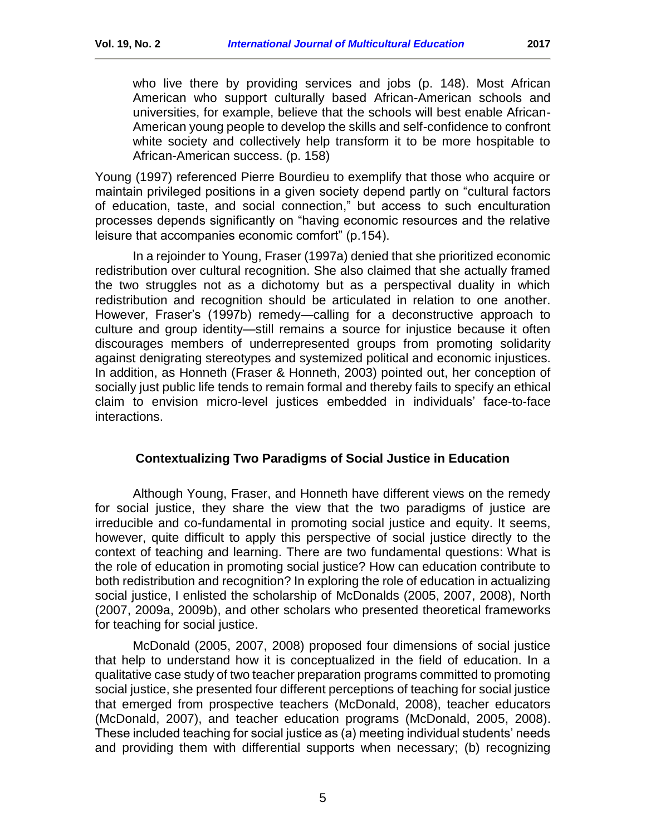who live there by providing services and jobs (p. 148). Most African American who support culturally based African-American schools and universities, for example, believe that the schools will best enable African-American young people to develop the skills and self-confidence to confront white society and collectively help transform it to be more hospitable to African-American success. (p. 158)

Young (1997) referenced Pierre Bourdieu to exemplify that those who acquire or maintain privileged positions in a given society depend partly on "cultural factors of education, taste, and social connection," but access to such enculturation processes depends significantly on "having economic resources and the relative leisure that accompanies economic comfort" (p.154).

In a rejoinder to Young, Fraser (1997a) denied that she prioritized economic redistribution over cultural recognition. She also claimed that she actually framed the two struggles not as a dichotomy but as a perspectival duality in which redistribution and recognition should be articulated in relation to one another. However, Fraser's (1997b) remedy—calling for a deconstructive approach to culture and group identity—still remains a source for injustice because it often discourages members of underrepresented groups from promoting solidarity against denigrating stereotypes and systemized political and economic injustices. In addition, as Honneth (Fraser & Honneth, 2003) pointed out, her conception of socially just public life tends to remain formal and thereby fails to specify an ethical claim to envision micro-level justices embedded in individuals' face-to-face interactions.

#### **Contextualizing Two Paradigms of Social Justice in Education**

<span id="page-4-0"></span>Although Young, Fraser, and Honneth have different views on the remedy for social justice, they share the view that the two paradigms of justice are irreducible and co-fundamental in promoting social justice and equity. It seems, however, quite difficult to apply this perspective of social justice directly to the context of teaching and learning. There are two fundamental questions: What is the role of education in promoting social justice? How can education contribute to both redistribution and recognition? In exploring the role of education in actualizing social justice, I enlisted the scholarship of McDonalds (2005, 2007, 2008), North (2007, 2009a, 2009b), and other scholars who presented theoretical frameworks for teaching for social justice.

McDonald (2005, 2007, 2008) proposed four dimensions of social justice that help to understand how it is conceptualized in the field of education. In a qualitative case study of two teacher preparation programs committed to promoting social justice, she presented four different perceptions of teaching for social justice that emerged from prospective teachers (McDonald, 2008), teacher educators (McDonald, 2007), and teacher education programs (McDonald, 2005, 2008). These included teaching for social justice as (a) meeting individual students' needs and providing them with differential supports when necessary; (b) recognizing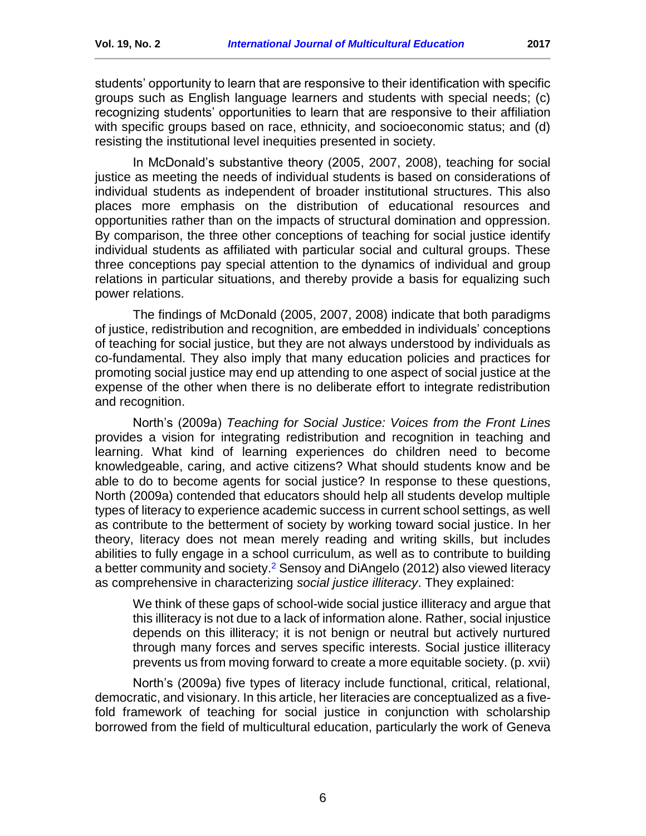students' opportunity to learn that are responsive to their identification with specific groups such as English language learners and students with special needs; (c) recognizing students' opportunities to learn that are responsive to their affiliation with specific groups based on race, ethnicity, and socioeconomic status; and (d) resisting the institutional level inequities presented in society.

In McDonald's substantive theory (2005, 2007, 2008), teaching for social justice as meeting the needs of individual students is based on considerations of individual students as independent of broader institutional structures. This also places more emphasis on the distribution of educational resources and opportunities rather than on the impacts of structural domination and oppression. By comparison, the three other conceptions of teaching for social justice identify individual students as affiliated with particular social and cultural groups. These three conceptions pay special attention to the dynamics of individual and group relations in particular situations, and thereby provide a basis for equalizing such power relations.

The findings of McDonald (2005, 2007, 2008) indicate that both paradigms of justice, redistribution and recognition, are embedded in individuals' conceptions of teaching for social justice, but they are not always understood by individuals as co-fundamental. They also imply that many education policies and practices for promoting social justice may end up attending to one aspect of social justice at the expense of the other when there is no deliberate effort to integrate redistribution and recognition.

North's (2009a) *Teaching for Social Justice: Voices from the Front Lines* provides a vision for integrating redistribution and recognition in teaching and learning. What kind of learning experiences do children need to become knowledgeable, caring, and active citizens? What should students know and be able to do to become agents for social justice? In response to these questions, North (2009a) contended that educators should help all students develop multiple types of literacy to experience academic success in current school settings, as well as contribute to the betterment of society by working toward social justice. In her theory, literacy does not mean merely reading and writing skills, but includes abilities to fully engage in a school curriculum, as well as to contribute to building a better community and society.<sup>2</sup> Sensoy and DiAngelo (2012) also viewed literacy as comprehensive in characterizing *social justice illiteracy*. They explained:

We think of these gaps of school-wide social justice illiteracy and argue that this illiteracy is not due to a lack of information alone. Rather, social injustice depends on this illiteracy; it is not benign or neutral but actively nurtured through many forces and serves specific interests. Social justice illiteracy prevents us from moving forward to create a more equitable society. (p. xvii)

North's (2009a) five types of literacy include functional, critical, relational, democratic, and visionary. In this article, her literacies are conceptualized as a fivefold framework of teaching for social justice in conjunction with scholarship borrowed from the field of multicultural education, particularly the work of Geneva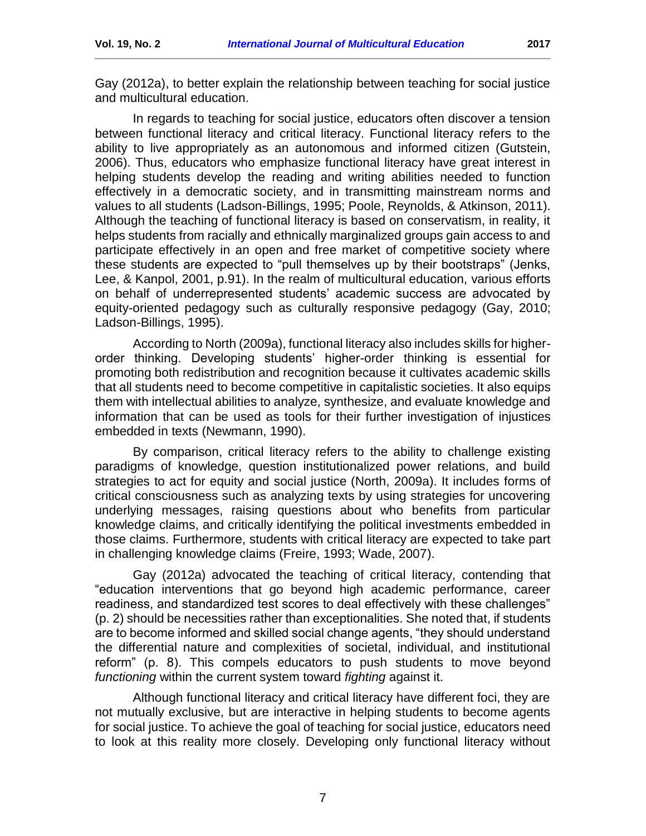Gay (2012a), to better explain the relationship between teaching for social justice and multicultural education.

In regards to teaching for social justice, educators often discover a tension between functional literacy and critical literacy. Functional literacy refers to the ability to live appropriately as an autonomous and informed citizen (Gutstein, 2006). Thus, educators who emphasize functional literacy have great interest in helping students develop the reading and writing abilities needed to function effectively in a democratic society, and in transmitting mainstream norms and values to all students (Ladson-Billings, 1995; Poole, Reynolds, & Atkinson, 2011). Although the teaching of functional literacy is based on conservatism, in reality, it helps students from racially and ethnically marginalized groups gain access to and participate effectively in an open and free market of competitive society where these students are expected to "pull themselves up by their bootstraps" (Jenks, Lee, & Kanpol, 2001, p.91). In the realm of multicultural education, various efforts on behalf of underrepresented students' academic success are advocated by equity-oriented pedagogy such as culturally responsive pedagogy (Gay, 2010; Ladson-Billings, 1995).

According to North (2009a), functional literacy also includes skills for higherorder thinking. Developing students' higher-order thinking is essential for promoting both redistribution and recognition because it cultivates academic skills that all students need to become competitive in capitalistic societies. It also equips them with intellectual abilities to analyze, synthesize, and evaluate knowledge and information that can be used as tools for their further investigation of injustices embedded in texts (Newmann, 1990).

By comparison, critical literacy refers to the ability to challenge existing paradigms of knowledge, question institutionalized power relations, and build strategies to act for equity and social justice (North, 2009a). It includes forms of critical consciousness such as analyzing texts by using strategies for uncovering underlying messages, raising questions about who benefits from particular knowledge claims, and critically identifying the political investments embedded in those claims. Furthermore, students with critical literacy are expected to take part in challenging knowledge claims (Freire, 1993; Wade, 2007).

Gay (2012a) advocated the teaching of critical literacy, contending that "education interventions that go beyond high academic performance, career readiness, and standardized test scores to deal effectively with these challenges" (p. 2) should be necessities rather than exceptionalities. She noted that, if students are to become informed and skilled social change agents, "they should understand the differential nature and complexities of societal, individual, and institutional reform" (p. 8). This compels educators to push students to move beyond *functioning* within the current system toward *fighting* against it.

Although functional literacy and critical literacy have different foci, they are not mutually exclusive, but are interactive in helping students to become agents for social justice. To achieve the goal of teaching for social justice, educators need to look at this reality more closely. Developing only functional literacy without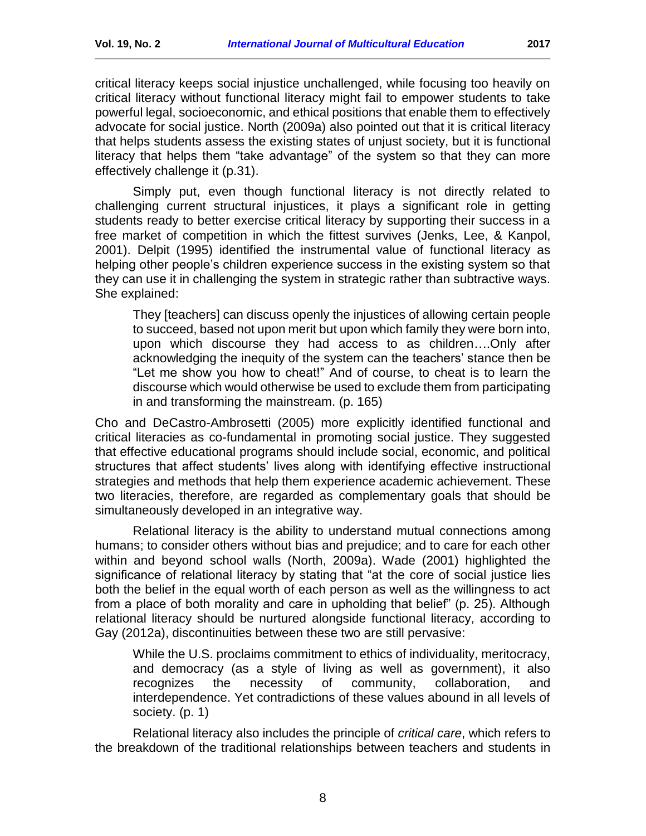powerful legal, socioeconomic, and ethical positions that enable them to effectively advocate for social justice. North (2009a) also pointed out that it is critical literacy that helps students assess the existing states of unjust society, but it is functional literacy that helps them "take advantage" of the system so that they can more effectively challenge it (p.31).

Simply put, even though functional literacy is not directly related to challenging current structural injustices, it plays a significant role in getting students ready to better exercise critical literacy by supporting their success in a free market of competition in which the fittest survives (Jenks, Lee, & Kanpol, 2001). Delpit (1995) identified the instrumental value of functional literacy as helping other people's children experience success in the existing system so that they can use it in challenging the system in strategic rather than subtractive ways. She explained:

They [teachers] can discuss openly the injustices of allowing certain people to succeed, based not upon merit but upon which family they were born into, upon which discourse they had access to as children….Only after acknowledging the inequity of the system can the teachers' stance then be "Let me show you how to cheat!" And of course, to cheat is to learn the discourse which would otherwise be used to exclude them from participating in and transforming the mainstream. (p. 165)

Cho and DeCastro-Ambrosetti (2005) more explicitly identified functional and critical literacies as co-fundamental in promoting social justice. They suggested that effective educational programs should include social, economic, and political structures that affect students' lives along with identifying effective instructional strategies and methods that help them experience academic achievement. These two literacies, therefore, are regarded as complementary goals that should be simultaneously developed in an integrative way.

Relational literacy is the ability to understand mutual connections among humans; to consider others without bias and prejudice; and to care for each other within and beyond school walls (North, 2009a). Wade (2001) highlighted the significance of relational literacy by stating that "at the core of social justice lies both the belief in the equal worth of each person as well as the willingness to act from a place of both morality and care in upholding that belief" (p. 25). Although relational literacy should be nurtured alongside functional literacy, according to Gay (2012a), discontinuities between these two are still pervasive:

While the U.S. proclaims commitment to ethics of individuality, meritocracy, and democracy (as a style of living as well as government), it also recognizes the necessity of community, collaboration, and interdependence. Yet contradictions of these values abound in all levels of society. (p. 1)

Relational literacy also includes the principle of *critical care*, which refers to the breakdown of the traditional relationships between teachers and students in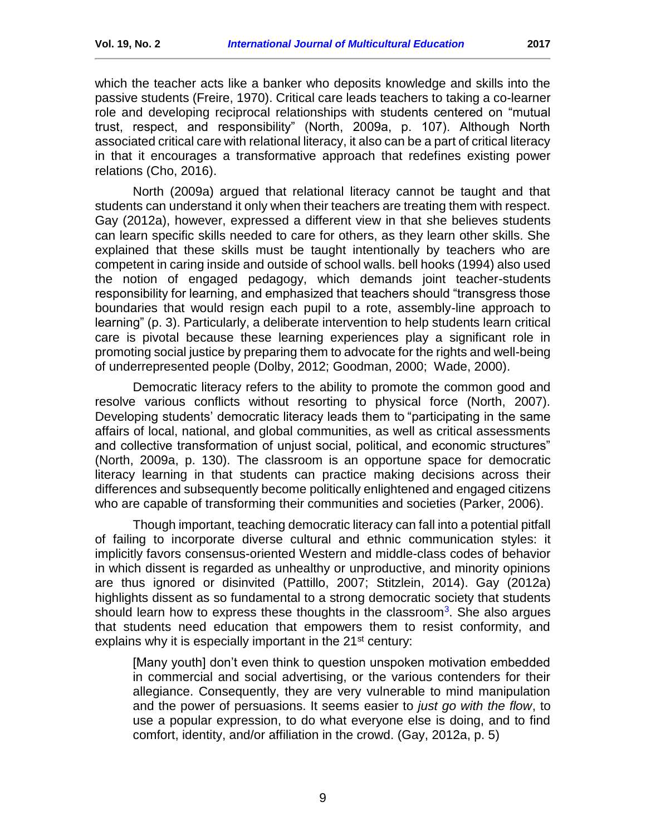which the teacher acts like a banker who deposits knowledge and skills into the passive students (Freire, 1970). Critical care leads teachers to taking a co-learner role and developing reciprocal relationships with students centered on "mutual trust, respect, and responsibility" (North, 2009a, p. 107). Although North associated critical care with relational literacy, it also can be a part of critical literacy in that it encourages a transformative approach that redefines existing power relations (Cho, 2016).

North (2009a) argued that relational literacy cannot be taught and that students can understand it only when their teachers are treating them with respect. Gay (2012a), however, expressed a different view in that she believes students can learn specific skills needed to care for others, as they learn other skills. She explained that these skills must be taught intentionally by teachers who are competent in caring inside and outside of school walls. bell hooks (1994) also used the notion of engaged pedagogy, which demands joint teacher-students responsibility for learning, and emphasized that teachers should "transgress those boundaries that would resign each pupil to a rote, assembly-line approach to learning" (p. 3). Particularly, a deliberate intervention to help students learn critical care is pivotal because these learning experiences play a significant role in promoting social justice by preparing them to advocate for the rights and well-being of underrepresented people (Dolby, 2012; Goodman, 2000; Wade, 2000).

Democratic literacy refers to the ability to promote the common good and resolve various conflicts without resorting to physical force (North, 2007). Developing students' democratic literacy leads them to "participating in the same affairs of local, national, and global communities, as well as critical assessments and collective transformation of unjust social, political, and economic structures" (North, 2009a, p. 130). The classroom is an opportune space for democratic literacy learning in that students can practice making decisions across their differences and subsequently become politically enlightened and engaged citizens who are capable of transforming their communities and societies (Parker, 2006).

Though important, teaching democratic literacy can fall into a potential pitfall of failing to incorporate diverse cultural and ethnic communication styles: it implicitly favors consensus-oriented Western and middle-class codes of behavior in which dissent is regarded as unhealthy or unproductive, and minority opinions are thus ignored or disinvited (Pattillo, 2007; Stitzlein, 2014). Gay (2012a) highlights dissent as so fundamental to a strong democratic society that students should learn how to express these thoughts in the classroom<sup>[3](#page-14-2)</sup>. She also argues that students need education that empowers them to resist conformity, and explains why it is especially important in the 21<sup>st</sup> century:

[Many youth] don't even think to question unspoken motivation embedded in commercial and social advertising, or the various contenders for their allegiance. Consequently, they are very vulnerable to mind manipulation and the power of persuasions. It seems easier to *just go with the flow*, to use a popular expression, to do what everyone else is doing, and to find comfort, identity, and/or affiliation in the crowd. (Gay, 2012a, p. 5)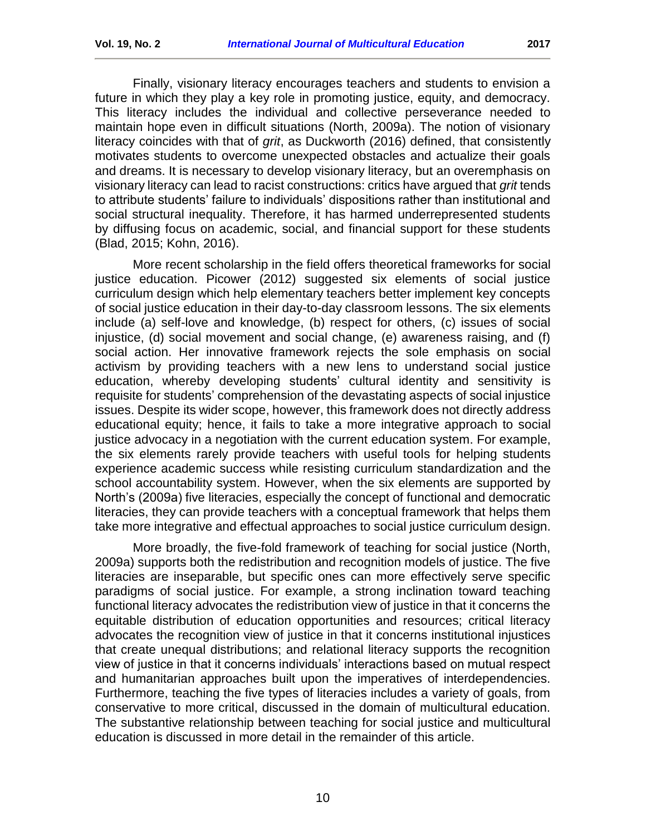Finally, visionary literacy encourages teachers and students to envision a future in which they play a key role in promoting justice, equity, and democracy. This literacy includes the individual and collective perseverance needed to maintain hope even in difficult situations (North, 2009a). The notion of visionary literacy coincides with that of *grit*, as Duckworth (2016) defined, that consistently motivates students to overcome unexpected obstacles and actualize their goals and dreams. It is necessary to develop visionary literacy, but an overemphasis on visionary literacy can lead to racist constructions: critics have argued that *grit* tends to attribute students' failure to individuals' dispositions rather than institutional and social structural inequality. Therefore, it has harmed underrepresented students by diffusing focus on academic, social, and financial support for these students (Blad, 2015; Kohn, 2016).

More recent scholarship in the field offers theoretical frameworks for social justice education. Picower (2012) suggested six elements of social justice curriculum design which help elementary teachers better implement key concepts of social justice education in their day-to-day classroom lessons. The six elements include (a) self-love and knowledge, (b) respect for others, (c) issues of social injustice, (d) social movement and social change, (e) awareness raising, and (f) social action. Her innovative framework rejects the sole emphasis on social activism by providing teachers with a new lens to understand social justice education, whereby developing students' cultural identity and sensitivity is requisite for students' comprehension of the devastating aspects of social injustice issues. Despite its wider scope, however, this framework does not directly address educational equity; hence, it fails to take a more integrative approach to social justice advocacy in a negotiation with the current education system. For example, the six elements rarely provide teachers with useful tools for helping students experience academic success while resisting curriculum standardization and the school accountability system. However, when the six elements are supported by North's (2009a) five literacies, especially the concept of functional and democratic literacies, they can provide teachers with a conceptual framework that helps them take more integrative and effectual approaches to social justice curriculum design.

More broadly, the five-fold framework of teaching for social justice (North, 2009a) supports both the redistribution and recognition models of justice. The five literacies are inseparable, but specific ones can more effectively serve specific paradigms of social justice. For example, a strong inclination toward teaching functional literacy advocates the redistribution view of justice in that it concerns the equitable distribution of education opportunities and resources; critical literacy advocates the recognition view of justice in that it concerns institutional injustices that create unequal distributions; and relational literacy supports the recognition view of justice in that it concerns individuals' interactions based on mutual respect and humanitarian approaches built upon the imperatives of interdependencies. Furthermore, teaching the five types of literacies includes a variety of goals, from conservative to more critical, discussed in the domain of multicultural education. The substantive relationship between teaching for social justice and multicultural education is discussed in more detail in the remainder of this article.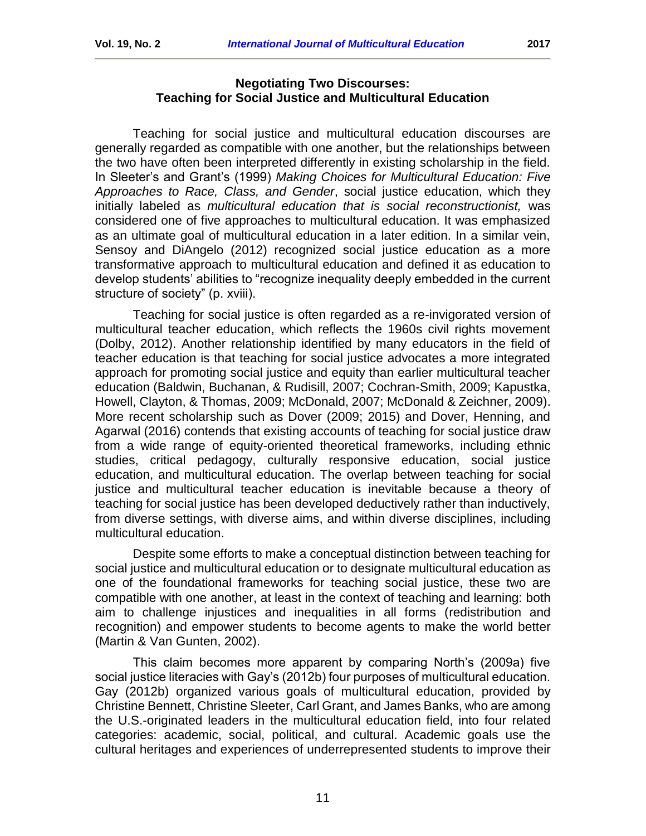#### **Negotiating Two Discourses: Teaching for Social Justice and Multicultural Education**

<span id="page-10-0"></span>Teaching for social justice and multicultural education discourses are generally regarded as compatible with one another, but the relationships between the two have often been interpreted differently in existing scholarship in the field. In Sleeter's and Grant's (1999) *Making Choices for Multicultural Education: Five Approaches to Race, Class, and Gender*, social justice education, which they initially labeled as *multicultural education that is social reconstructionist,* was considered one of five approaches to multicultural education. It was emphasized as an ultimate goal of multicultural education in a later edition. In a similar vein, Sensoy and DiAngelo (2012) recognized social justice education as a more transformative approach to multicultural education and defined it as education to develop students' abilities to "recognize inequality deeply embedded in the current structure of society" (p. xviii).

Teaching for social justice is often regarded as a re-invigorated version of multicultural teacher education, which reflects the 1960s civil rights movement (Dolby, 2012). Another relationship identified by many educators in the field of teacher education is that teaching for social justice advocates a more integrated approach for promoting social justice and equity than earlier multicultural teacher education (Baldwin, Buchanan, & Rudisill, 2007; Cochran-Smith, 2009; Kapustka, Howell, Clayton, & Thomas, 2009; McDonald, 2007; McDonald & Zeichner, 2009). More recent scholarship such as Dover (2009; 2015) and Dover, Henning, and Agarwal (2016) contends that existing accounts of teaching for social justice draw from a wide range of equity-oriented theoretical frameworks, including ethnic studies, critical pedagogy, culturally responsive education, social justice education, and multicultural education. The overlap between teaching for social justice and multicultural teacher education is inevitable because a theory of teaching for social justice has been developed deductively rather than inductively, from diverse settings, with diverse aims, and within diverse disciplines, including multicultural education.

Despite some efforts to make a conceptual distinction between teaching for social justice and multicultural education or to designate multicultural education as one of the foundational frameworks for teaching social justice, these two are compatible with one another, at least in the context of teaching and learning: both aim to challenge injustices and inequalities in all forms (redistribution and recognition) and empower students to become agents to make the world better (Martin & Van Gunten, 2002).

This claim becomes more apparent by comparing North's (2009a) five social justice literacies with Gay's (2012b) four purposes of multicultural education. Gay (2012b) organized various goals of multicultural education, provided by Christine Bennett, Christine Sleeter, Carl Grant, and James Banks, who are among the U.S.-originated leaders in the multicultural education field, into four related categories: academic, social, political, and cultural. Academic goals use the cultural heritages and experiences of underrepresented students to improve their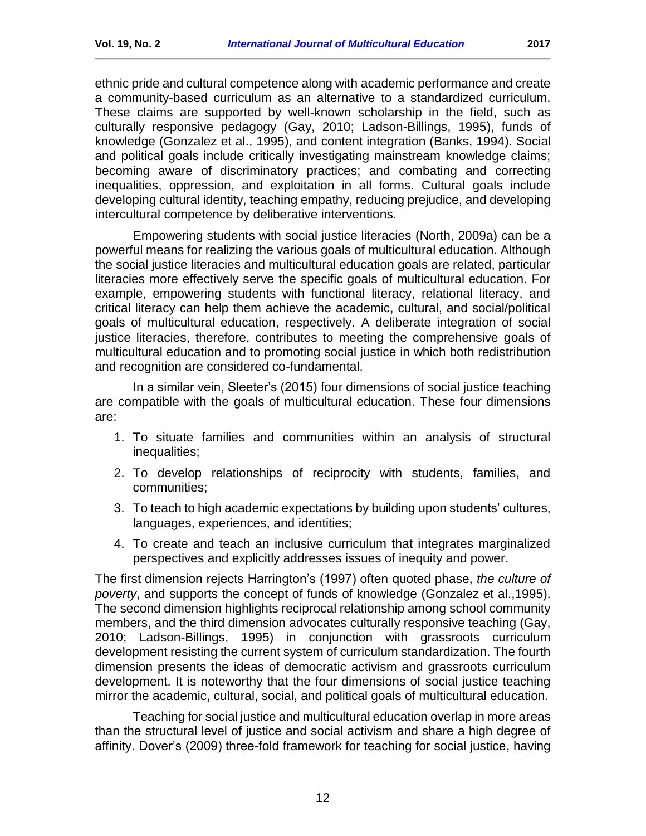ethnic pride and cultural competence along with academic performance and create a community-based curriculum as an alternative to a standardized curriculum. These claims are supported by well-known scholarship in the field, such as culturally responsive pedagogy (Gay, 2010; Ladson-Billings, 1995), funds of knowledge (Gonzalez et al., 1995), and content integration (Banks, 1994). Social and political goals include critically investigating mainstream knowledge claims; becoming aware of discriminatory practices; and combating and correcting inequalities, oppression, and exploitation in all forms. Cultural goals include developing cultural identity, teaching empathy, reducing prejudice, and developing intercultural competence by deliberative interventions.

Empowering students with social justice literacies (North, 2009a) can be a powerful means for realizing the various goals of multicultural education. Although the social justice literacies and multicultural education goals are related, particular literacies more effectively serve the specific goals of multicultural education. For example, empowering students with functional literacy, relational literacy, and critical literacy can help them achieve the academic, cultural, and social/political goals of multicultural education, respectively. A deliberate integration of social justice literacies, therefore, contributes to meeting the comprehensive goals of multicultural education and to promoting social justice in which both redistribution and recognition are considered co-fundamental.

In a similar vein, Sleeter's (2015) four dimensions of social justice teaching are compatible with the goals of multicultural education. These four dimensions are:

- 1. To situate families and communities within an analysis of structural inequalities;
- 2. To develop relationships of reciprocity with students, families, and communities;
- 3. To teach to high academic expectations by building upon students' cultures, languages, experiences, and identities;
- 4. To create and teach an inclusive curriculum that integrates marginalized perspectives and explicitly addresses issues of inequity and power.

The first dimension rejects Harrington's (1997) often quoted phase, *the culture of poverty*, and supports the concept of funds of knowledge (Gonzalez et al.,1995). The second dimension highlights reciprocal relationship among school community members, and the third dimension advocates culturally responsive teaching (Gay, 2010; Ladson-Billings, 1995) in conjunction with grassroots curriculum development resisting the current system of curriculum standardization. The fourth dimension presents the ideas of democratic activism and grassroots curriculum development. It is noteworthy that the four dimensions of social justice teaching mirror the academic, cultural, social, and political goals of multicultural education.

Teaching for social justice and multicultural education overlap in more areas than the structural level of justice and social activism and share a high degree of affinity. Dover's (2009) three-fold framework for teaching for social justice, having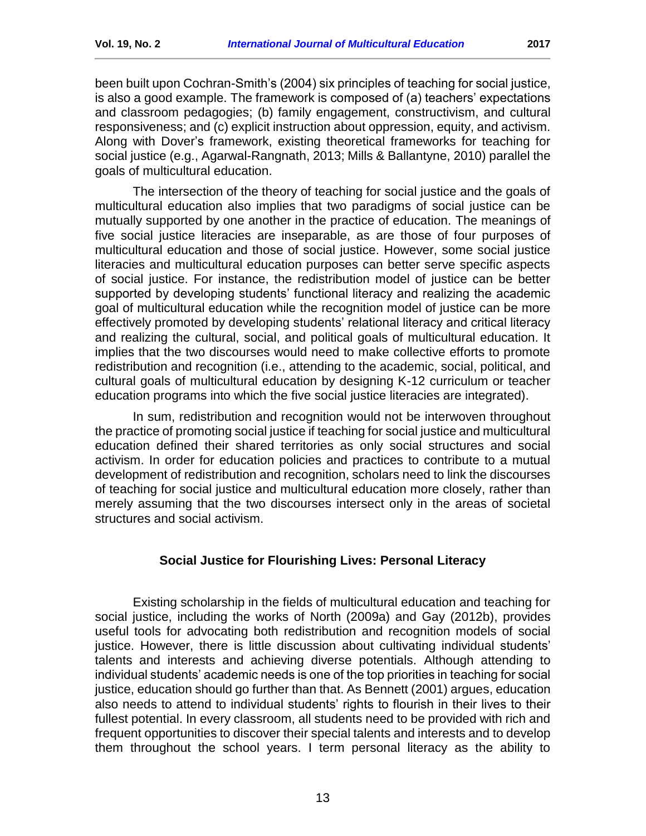been built upon Cochran-Smith's (2004) six principles of teaching for social justice, is also a good example. The framework is composed of (a) teachers' expectations and classroom pedagogies; (b) family engagement, constructivism, and cultural responsiveness; and (c) explicit instruction about oppression, equity, and activism. Along with Dover's framework, existing theoretical frameworks for teaching for social justice (e.g., Agarwal-Rangnath, 2013; Mills & Ballantyne, 2010) parallel the goals of multicultural education.

The intersection of the theory of teaching for social justice and the goals of multicultural education also implies that two paradigms of social justice can be mutually supported by one another in the practice of education. The meanings of five social justice literacies are inseparable, as are those of four purposes of multicultural education and those of social justice. However, some social justice literacies and multicultural education purposes can better serve specific aspects of social justice. For instance, the redistribution model of justice can be better supported by developing students' functional literacy and realizing the academic goal of multicultural education while the recognition model of justice can be more effectively promoted by developing students' relational literacy and critical literacy and realizing the cultural, social, and political goals of multicultural education. It implies that the two discourses would need to make collective efforts to promote redistribution and recognition (i.e., attending to the academic, social, political, and cultural goals of multicultural education by designing K-12 curriculum or teacher education programs into which the five social justice literacies are integrated).

In sum, redistribution and recognition would not be interwoven throughout the practice of promoting social justice if teaching for social justice and multicultural education defined their shared territories as only social structures and social activism. In order for education policies and practices to contribute to a mutual development of redistribution and recognition, scholars need to link the discourses of teaching for social justice and multicultural education more closely, rather than merely assuming that the two discourses intersect only in the areas of societal structures and social activism.

## **Social Justice for Flourishing Lives: Personal Literacy**

<span id="page-12-0"></span>Existing scholarship in the fields of multicultural education and teaching for social justice, including the works of North (2009a) and Gay (2012b), provides useful tools for advocating both redistribution and recognition models of social justice. However, there is little discussion about cultivating individual students' talents and interests and achieving diverse potentials. Although attending to individual students' academic needs is one of the top priorities in teaching for social justice, education should go further than that. As Bennett (2001) argues, education also needs to attend to individual students' rights to flourish in their lives to their fullest potential. In every classroom, all students need to be provided with rich and frequent opportunities to discover their special talents and interests and to develop them throughout the school years. I term personal literacy as the ability to

13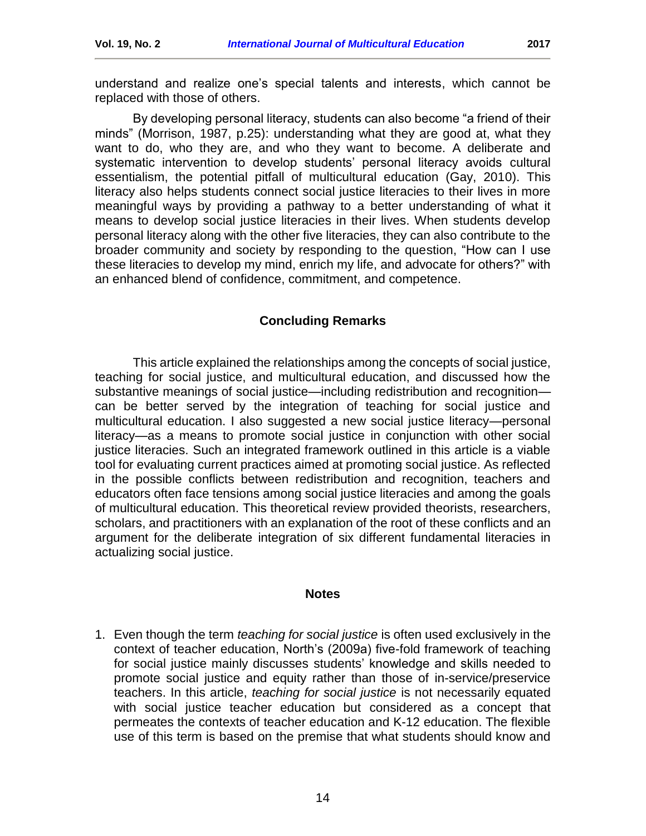understand and realize one's special talents and interests, which cannot be replaced with those of others.

By developing personal literacy, students can also become "a friend of their minds" (Morrison, 1987, p.25): understanding what they are good at, what they want to do, who they are, and who they want to become. A deliberate and systematic intervention to develop students' personal literacy avoids cultural essentialism, the potential pitfall of multicultural education (Gay, 2010). This literacy also helps students connect social justice literacies to their lives in more meaningful ways by providing a pathway to a better understanding of what it means to develop social justice literacies in their lives. When students develop personal literacy along with the other five literacies, they can also contribute to the broader community and society by responding to the question, "How can I use these literacies to develop my mind, enrich my life, and advocate for others?" with an enhanced blend of confidence, commitment, and competence.

### **Concluding Remarks**

<span id="page-13-0"></span>This article explained the relationships among the concepts of social justice, teaching for social justice, and multicultural education, and discussed how the substantive meanings of social justice—including redistribution and recognition can be better served by the integration of teaching for social justice and multicultural education. I also suggested a new social justice literacy—personal literacy—as a means to promote social justice in conjunction with other social justice literacies. Such an integrated framework outlined in this article is a viable tool for evaluating current practices aimed at promoting social justice. As reflected in the possible conflicts between redistribution and recognition, teachers and educators often face tensions among social justice literacies and among the goals of multicultural education. This theoretical review provided theorists, researchers, scholars, and practitioners with an explanation of the root of these conflicts and an argument for the deliberate integration of six different fundamental literacies in actualizing social justice.

#### **Notes**

<span id="page-13-1"></span>1. Even though the term *teaching for social justice* is often used exclusively in the context of teacher education, North's (2009a) five-fold framework of teaching for social justice mainly discusses students' knowledge and skills needed to promote social justice and equity rather than those of in-service/preservice teachers. In this article, *teaching for social justice* is not necessarily equated with social justice teacher education but considered as a concept that permeates the contexts of teacher education and K-12 education. The flexible use of this term is based on the premise that what students should know and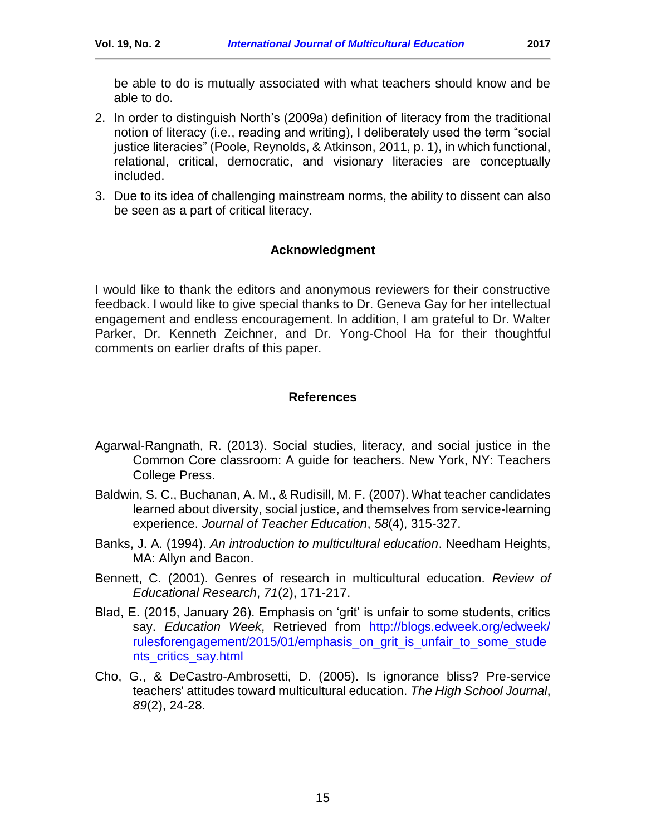- 2. In order to distinguish North's (2009a) definition of literacy from the traditional notion of literacy (i.e., reading and writing), I deliberately used the term "social justice literacies" (Poole, Reynolds, & Atkinson, 2011, p. 1), in which functional, relational, critical, democratic, and visionary literacies are conceptually included.
- <span id="page-14-2"></span>3. Due to its idea of challenging mainstream norms, the ability to dissent can also be seen as a part of critical literacy.

### **Acknowledgment**

<span id="page-14-0"></span>I would like to thank the editors and anonymous reviewers for their constructive feedback. I would like to give special thanks to Dr. Geneva Gay for her intellectual engagement and endless encouragement. In addition, I am grateful to Dr. Walter Parker, Dr. Kenneth Zeichner, and Dr. Yong-Chool Ha for their thoughtful comments on earlier drafts of this paper.

#### **References**

- <span id="page-14-1"></span>Agarwal-Rangnath, R. (2013). Social studies, literacy, and social justice in the Common Core classroom: A guide for teachers. New York, NY: Teachers College Press.
- Baldwin, S. C., Buchanan, A. M., & Rudisill, M. F. (2007). What teacher candidates learned about diversity, social justice, and themselves from service-learning experience. *Journal of Teacher Education*, *58*(4), 315-327.
- Banks, J. A. (1994). *An introduction to multicultural education*. Needham Heights, MA: Allyn and Bacon.
- Bennett, C. (2001). Genres of research in multicultural education. *Review of Educational Research*, *71*(2), 171-217.
- Blad, E. (2015, January 26). Emphasis on 'grit' is unfair to some students, critics say. *Education Week*, Retrieved from [http://blogs.edweek.org/edweek/](http://blogs.edweek.org/edweek/%20rulesforengagement/2015/01/emphasis_on_grit_is_unfair_to_some_students_critics_say.html)  [rulesforengagement/2015/01/emphasis\\_on\\_grit\\_is\\_unfair\\_to\\_some\\_stude](http://blogs.edweek.org/edweek/%20rulesforengagement/2015/01/emphasis_on_grit_is_unfair_to_some_students_critics_say.html) [nts\\_critics\\_say.html](http://blogs.edweek.org/edweek/%20rulesforengagement/2015/01/emphasis_on_grit_is_unfair_to_some_students_critics_say.html)
- Cho, G., & DeCastro-Ambrosetti, D. (2005). Is ignorance bliss? Pre-service teachers' attitudes toward multicultural education. *The High School Journal*, *89*(2), 24-28.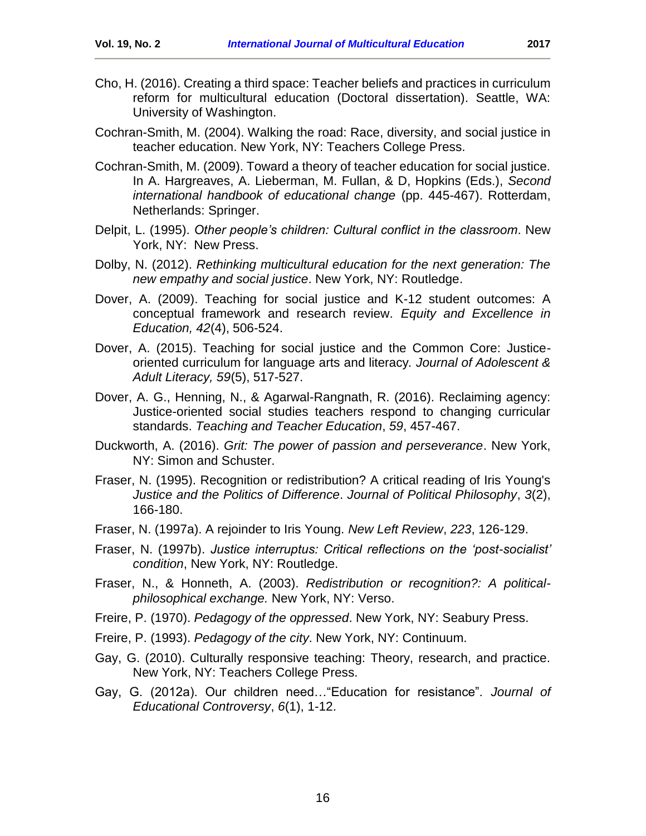- Cho, H. (2016). Creating a third space: Teacher beliefs and practices in curriculum reform for multicultural education (Doctoral dissertation). Seattle, WA: University of Washington.
- Cochran-Smith, M. (2004). Walking the road: Race, diversity, and social justice in teacher education. New York, NY: Teachers College Press.
- Cochran-Smith, M. (2009). Toward a theory of teacher education for social justice. In A. Hargreaves, A. Lieberman, M. Fullan, & D, Hopkins (Eds.), *Second international handbook of educational change* (pp. 445-467). Rotterdam, Netherlands: Springer.
- Delpit, L. (1995). *Other people's children: Cultural conflict in the classroom*. New York, NY: New Press.
- Dolby, N. (2012). *Rethinking multicultural education for the next generation: The new empathy and social justice*. New York, NY: Routledge.
- Dover, A. (2009). Teaching for social justice and K-12 student outcomes: A conceptual framework and research review. *Equity and Excellence in Education, 42*(4), 506-524.
- Dover, A. (2015). Teaching for social justice and the Common Core: Justiceoriented curriculum for language arts and literacy*. Journal of Adolescent & Adult Literacy, 59*(5), 517-527.
- Dover, A. G., Henning, N., & Agarwal-Rangnath, R. (2016). Reclaiming agency: Justice-oriented social studies teachers respond to changing curricular standards. *Teaching and Teacher Education*, *59*, 457-467.
- Duckworth, A. (2016). *Grit: The power of passion and perseverance*. New York, NY: Simon and Schuster.
- Fraser, N. (1995). Recognition or redistribution? A critical reading of Iris Young's *Justice and the Politics of Difference*. *Journal of Political Philosophy*, *3*(2), 166-180.
- Fraser, N. (1997a). A rejoinder to Iris Young. *New Left Review*, *223*, 126-129.
- Fraser, N. (1997b). *Justice interruptus: Critical reflections on the 'post-socialist' condition*, New York, NY: Routledge.
- Fraser, N., & Honneth, A. (2003). *Redistribution or recognition?: A politicalphilosophical exchange.* New York, NY: Verso.
- Freire, P. (1970). *Pedagogy of the oppressed*. New York, NY: Seabury Press.
- Freire, P. (1993). *Pedagogy of the city*. New York, NY: Continuum.
- Gay, G. (2010). Culturally responsive teaching: Theory, research, and practice. New York, NY: Teachers College Press.
- Gay, G. (2012a). Our children need…"Education for resistance". *Journal of Educational Controversy*, *6*(1), 1-12.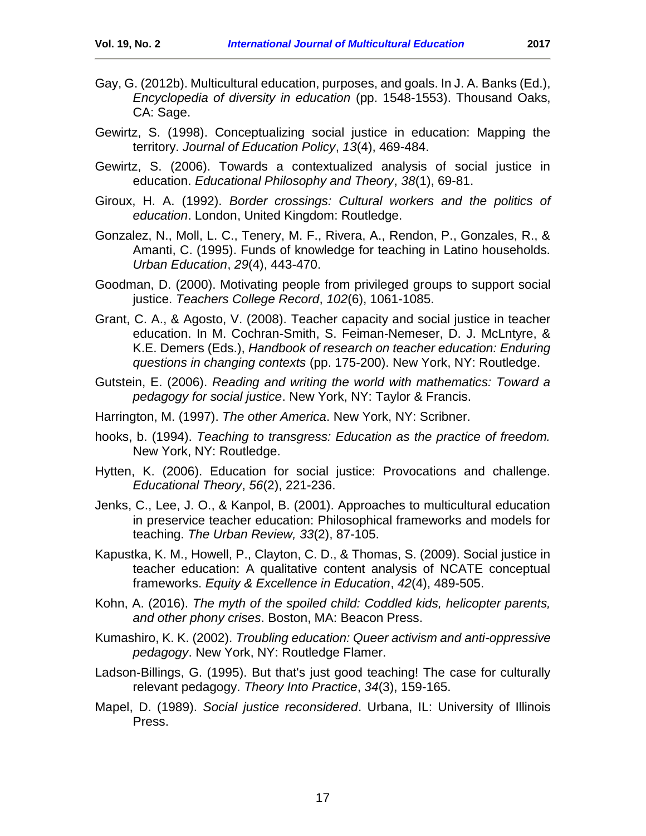- Gay, G. (2012b). Multicultural education, purposes, and goals. In J. A. Banks (Ed.), *Encyclopedia of diversity in education* (pp. 1548-1553). Thousand Oaks, CA: Sage.
- Gewirtz, S. (1998). Conceptualizing social justice in education: Mapping the territory. *Journal of Education Policy*, *13*(4), 469-484.
- Gewirtz, S. (2006). Towards a contextualized analysis of social justice in education. *Educational Philosophy and Theory*, *38*(1), 69-81.
- Giroux, H. A. (1992). *Border crossings: Cultural workers and the politics of education*. London, United Kingdom: Routledge.
- Gonzalez, N., Moll, L. C., Tenery, M. F., Rivera, A., Rendon, P., Gonzales, R., & Amanti, C. (1995). Funds of knowledge for teaching in Latino households. *Urban Education*, *29*(4), 443-470.
- Goodman, D. (2000). Motivating people from privileged groups to support social justice. *Teachers College Record*, *102*(6), 1061-1085.
- Grant, C. A., & Agosto, V. (2008). Teacher capacity and social justice in teacher education. In M. Cochran-Smith, S. Feiman-Nemeser, D. J. McLntyre, & K.E. Demers (Eds.), *Handbook of research on teacher education: Enduring questions in changing contexts* (pp. 175-200). New York, NY: Routledge.
- Gutstein, E. (2006). *Reading and writing the world with mathematics: Toward a pedagogy for social justice*. New York, NY: Taylor & Francis.
- Harrington, M. (1997). *The other America*. New York, NY: Scribner.
- hooks, b. (1994). *Teaching to transgress: Education as the practice of freedom.* New York, NY: Routledge.
- Hytten, K. (2006). Education for social justice: Provocations and challenge. *Educational Theory*, *56*(2), 221-236.
- Jenks, C., Lee, J. O., & Kanpol, B. (2001). Approaches to multicultural education in preservice teacher education: Philosophical frameworks and models for teaching. *The Urban Review, 33*(2), 87-105.
- Kapustka, K. M., Howell, P., Clayton, C. D., & Thomas, S. (2009). Social justice in teacher education: A qualitative content analysis of NCATE conceptual frameworks. *Equity & Excellence in Education*, *42*(4), 489-505.
- Kohn, A. (2016). *The myth of the spoiled child: Coddled kids, helicopter parents, and other phony crises*. Boston, MA: Beacon Press.
- Kumashiro, K. K. (2002). *Troubling education: Queer activism and anti-oppressive pedagogy*. New York, NY: Routledge Flamer.
- Ladson‐Billings, G. (1995). But that's just good teaching! The case for culturally relevant pedagogy. *Theory Into Practice*, *34*(3), 159-165.
- Mapel, D. (1989). *Social justice reconsidered*. Urbana, IL: University of Illinois Press.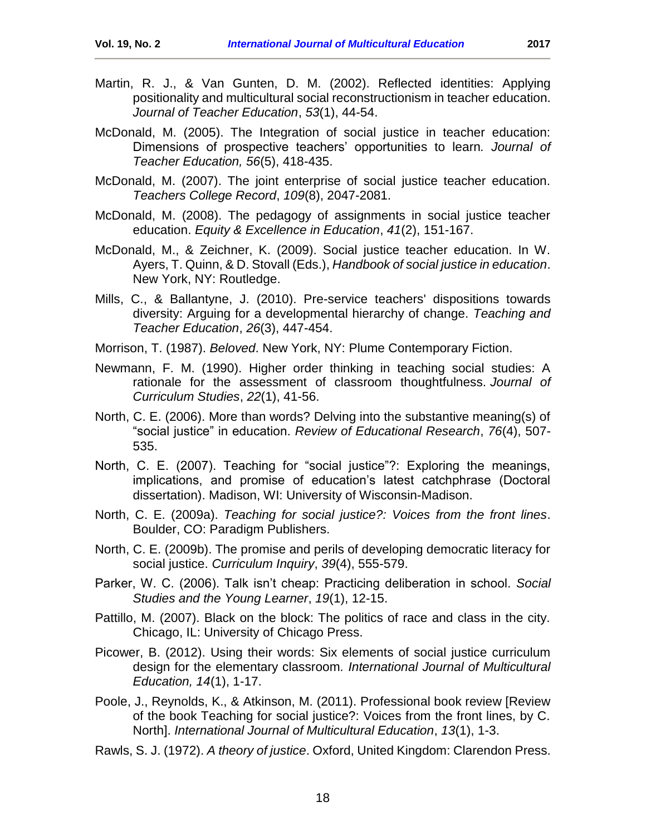- Martin, R. J., & Van Gunten, D. M. (2002). Reflected identities: Applying positionality and multicultural social reconstructionism in teacher education. *Journal of Teacher Education*, *53*(1), 44-54.
- McDonald, M. (2005). The Integration of social justice in teacher education: Dimensions of prospective teachers' opportunities to learn*. Journal of Teacher Education, 56*(5), 418-435.
- McDonald, M. (2007). The joint enterprise of social justice teacher education. *Teachers College Record*, *109*(8), 2047-2081.
- McDonald, M. (2008). The pedagogy of assignments in social justice teacher education. *Equity & Excellence in Education*, *41*(2), 151-167.
- McDonald, M., & Zeichner, K. (2009). Social justice teacher education. In W. Ayers, T. Quinn, & D. Stovall (Eds.), *Handbook of social justice in education*. New York, NY: Routledge.
- Mills, C., & Ballantyne, J. (2010). Pre-service teachers' dispositions towards diversity: Arguing for a developmental hierarchy of change. *Teaching and Teacher Education*, *26*(3), 447-454.
- Morrison, T. (1987). *Beloved*. New York, NY: Plume Contemporary Fiction.
- Newmann, F. M. (1990). Higher order thinking in teaching social studies: A rationale for the assessment of classroom thoughtfulness. *Journal of Curriculum Studies*, *22*(1), 41-56.
- North, C. E. (2006). More than words? Delving into the substantive meaning(s) of "social justice" in education. *Review of Educational Research*, *76*(4), 507- 535.
- North, C. E. (2007). Teaching for "social justice"?: Exploring the meanings, implications, and promise of education's latest catchphrase (Doctoral dissertation). Madison, WI: University of Wisconsin-Madison.
- North, C. E. (2009a). *Teaching for social justice?: Voices from the front lines*. Boulder, CO: Paradigm Publishers.
- North, C. E. (2009b). The promise and perils of developing democratic literacy for social justice. *Curriculum Inquiry*, *39*(4), 555-579.
- Parker, W. C. (2006). Talk isn't cheap: Practicing deliberation in school. *Social Studies and the Young Learner*, *19*(1), 12-15.
- Pattillo, M. (2007). Black on the block: The politics of race and class in the city. Chicago, IL: University of Chicago Press.
- Picower, B. (2012). Using their words: Six elements of social justice curriculum design for the elementary classroom*. International Journal of Multicultural Education, 14*(1), 1-17.
- Poole, J., Reynolds, K., & Atkinson, M. (2011). Professional book review [Review of the book Teaching for social justice?: Voices from the front lines, by C. North]. *International Journal of Multicultural Education*, *13*(1), 1-3.
- Rawls, S. J. (1972). *A theory of justice*. Oxford, United Kingdom: Clarendon Press.